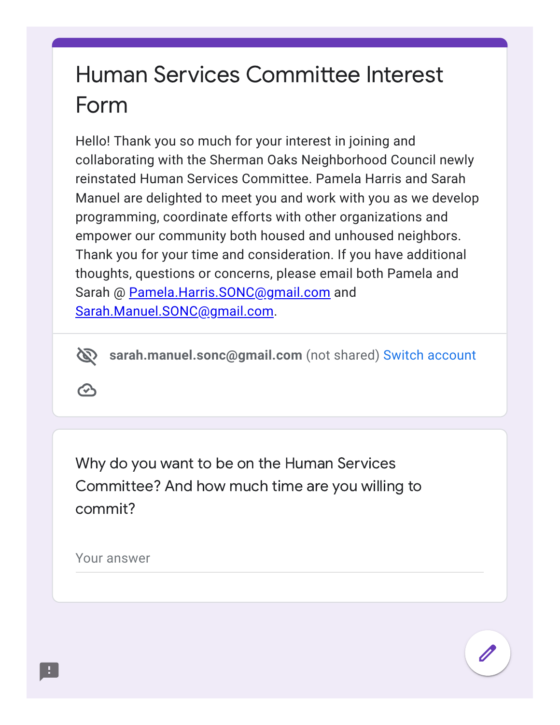## Human Services Committee Interest Form

Hello! Thank you so much for your interest in joining and collaborating with the Sherman Oaks Neighborhood Council newly reinstated Human Services Committee. Pamela Harris and Sarah Manuel are delighted to meet you and work with you as we develop programming, coordinate efforts with other organizations and empower our community both housed and unhoused neighbors. Thank you for your time and consideration. If you have additional thoughts, questions or concerns, please email both Pamela and Sarah @ [Pamela.Harris.SONC@gmail.com](mailto:Pamela.Harris.SONC@gmail.com) and [Sarah.Manuel.SONC@gmail.com.](mailto:Sarah.Manuel.SONC@gmail.com)

 $\mathscr{D}$ **sarah.manuel.sonc@gmail.com** (not shared) Switch [account](https://accounts.google.com/AccountChooser?continue=https://docs.google.com/forms/d/e/1FAIpQLSdU-8XeyS9rKIp1jVok8FM2RgqXh2AML2dfqh8TlAErYzbQaQ/viewform&service=wise)

 $\bm{\odot}$ 

Why do you want to be on the Human Services Committee? And how much time are you willing to commit?

Your answer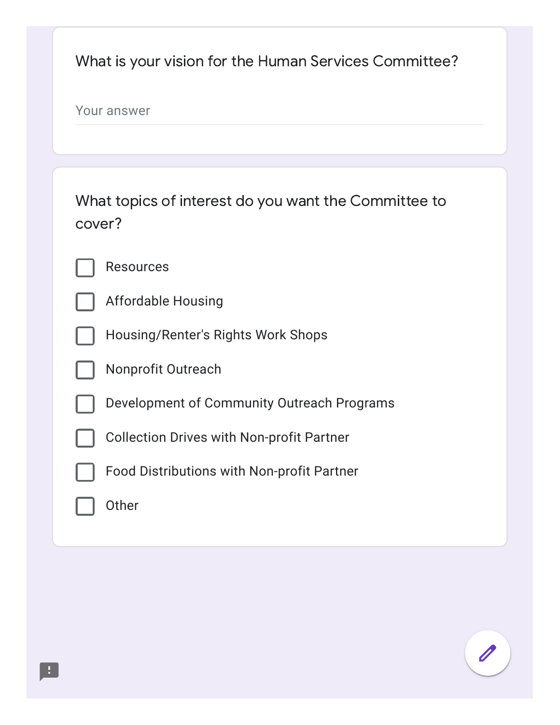| What is your vision for the Human Services Committee?          |
|----------------------------------------------------------------|
| Your answer                                                    |
|                                                                |
| What topics of interest do you want the Committee to<br>cover? |
| <b>Resources</b>                                               |
| <b>Affordable Housing</b>                                      |
| Housing/Renter's Rights Work Shops                             |
| Nonprofit Outreach                                             |
| Development of Community Outreach Programs                     |
| <b>Collection Drives with Non-profit Partner</b>               |
| <b>Food Distributions with Non-profit Partner</b>              |
| Other                                                          |

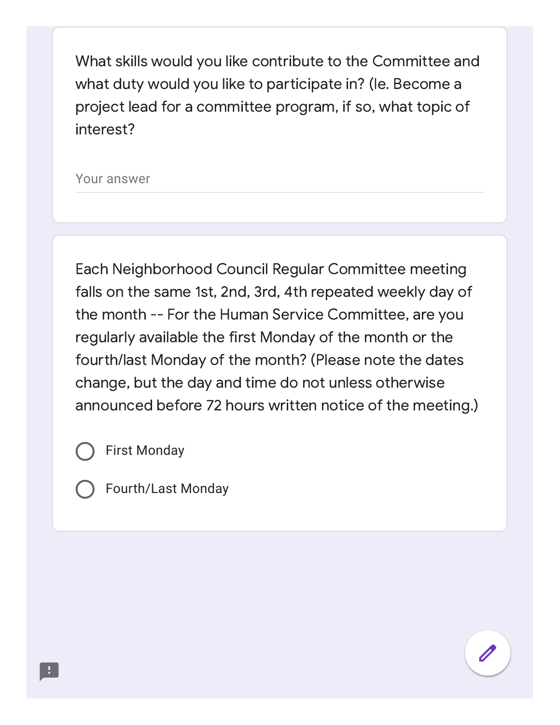What skills would you like contribute to the Committee and what duty would you like to participate in? (Ie. Become a project lead for a committee program, if so, what topic of interest?

Your answer

Each Neighborhood Council Regular Committee meeting falls on the same 1st, 2nd, 3rd, 4th repeated weekly day of the month -- For the Human Service Committee, are you regularly available the first Monday of the month or the fourth/last Monday of the month? (Please note the dates change, but the day and time do not unless otherwise announced before 72 hours written notice of the meeting.)

First Monday



Fourth/Last Monday